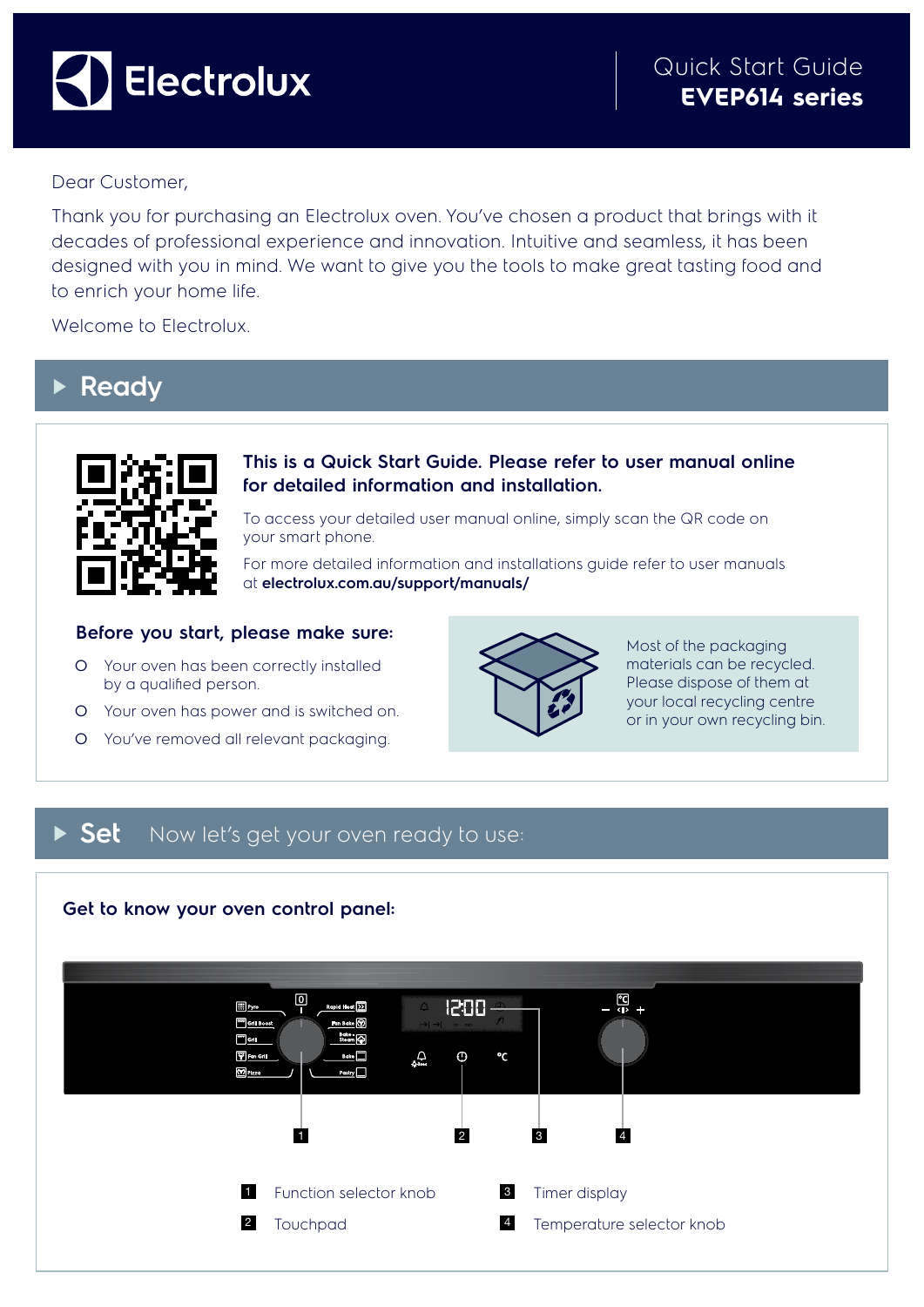

## Dear Customer,

Thank you for purchasing an Electrolux oven. You've chosen a product that brings with it decades of professional experience and innovation. Intuitive and seamless, it has been designed with you in mind. We want to give you the tools to make great tasting food and to enrich your home life.

Welcome to Electrolux.

# **Ready**



**This is a Quick Start Guide. Please refer to user manual online for detailed information and installation.**

To access your detailed user manual online, simply scan the QR code on your smart phone.

For more detailed information and installations guide refer to user manuals at **electrolux.com.au/support/manuals/**

#### **Before you start, please make sure:**

- O Your oven has been correctly installed by a qualified person.
- O Your oven has power and is switched on.
- O You've removed all relevant packaging.



Most of the packaging materials can be recycled. Please dispose of them at your local recycling centre or in your own recycling bin.

# **Set** Now let's get your oven ready to use:

#### **Get to know your oven control panel:**

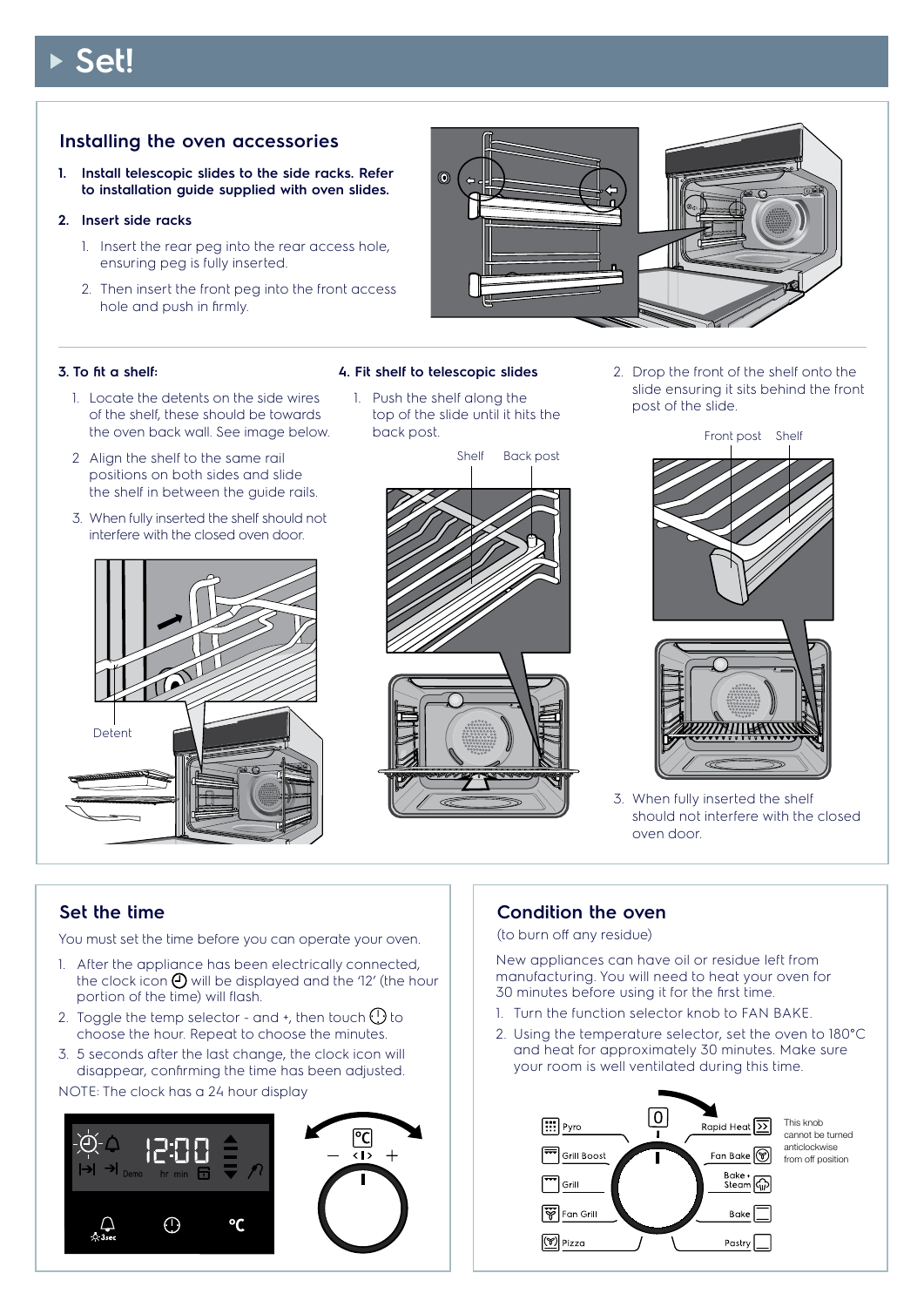# **Set!**

## **Installing the oven accessories**

- **1. Install telescopic slides to the side racks. Refer to installation guide supplied with oven slides.**
- **2. Insert side racks**
	- 1. Insert the rear peg into the rear access hole, ensuring peg is fully inserted.
	- 2. Then insert the front peg into the front access hole and push in firmly.



#### **3. To fit a shelf:**

- 1. Locate the detents on the side wires of the shelf, these should be towards the oven back wall. See image below.
- 2 Align the shelf to the same rail positions on both sides and slide the shelf in between the guide rails.
- 3. When fully inserted the shelf should not interfere with the closed oven door.



#### **4. Fit shelf to telescopic slides**

1. Push the shelf along the top of the slide until it hits the back post.



2. Drop the front of the shelf onto the slide ensuring it sits behind the front post of the slide.





3. When fully inserted the shelf should not interfere with the closed oven door.

### **Set the time**

You must set the time before you can operate your oven.

- 1. After the appliance has been electrically connected, the clock icon  $\Theta$  will be displayed and the '12' (the hour portion of the time) will flash.
- 2. Toggle the temp selector and +, then touch  $\bigoplus$  to choose the hour. Repeat to choose the minutes.
- 3. 5 seconds after the last change, the clock icon will disappear, confirming the time has been adjusted.

NOTE: The clock has a 24 hour display



### **Condition the oven**

(to burn off any residue)

New appliances can have oil or residue left from manufacturing. You will need to heat your oven for 30 minutes before using it for the first time.

- 1. Turn the function selector knob to FAN BAKE.
- 2. Using the temperature selector, set the oven to 180°C and heat for approximately 30 minutes. Make sure your room is well ventilated during this time.

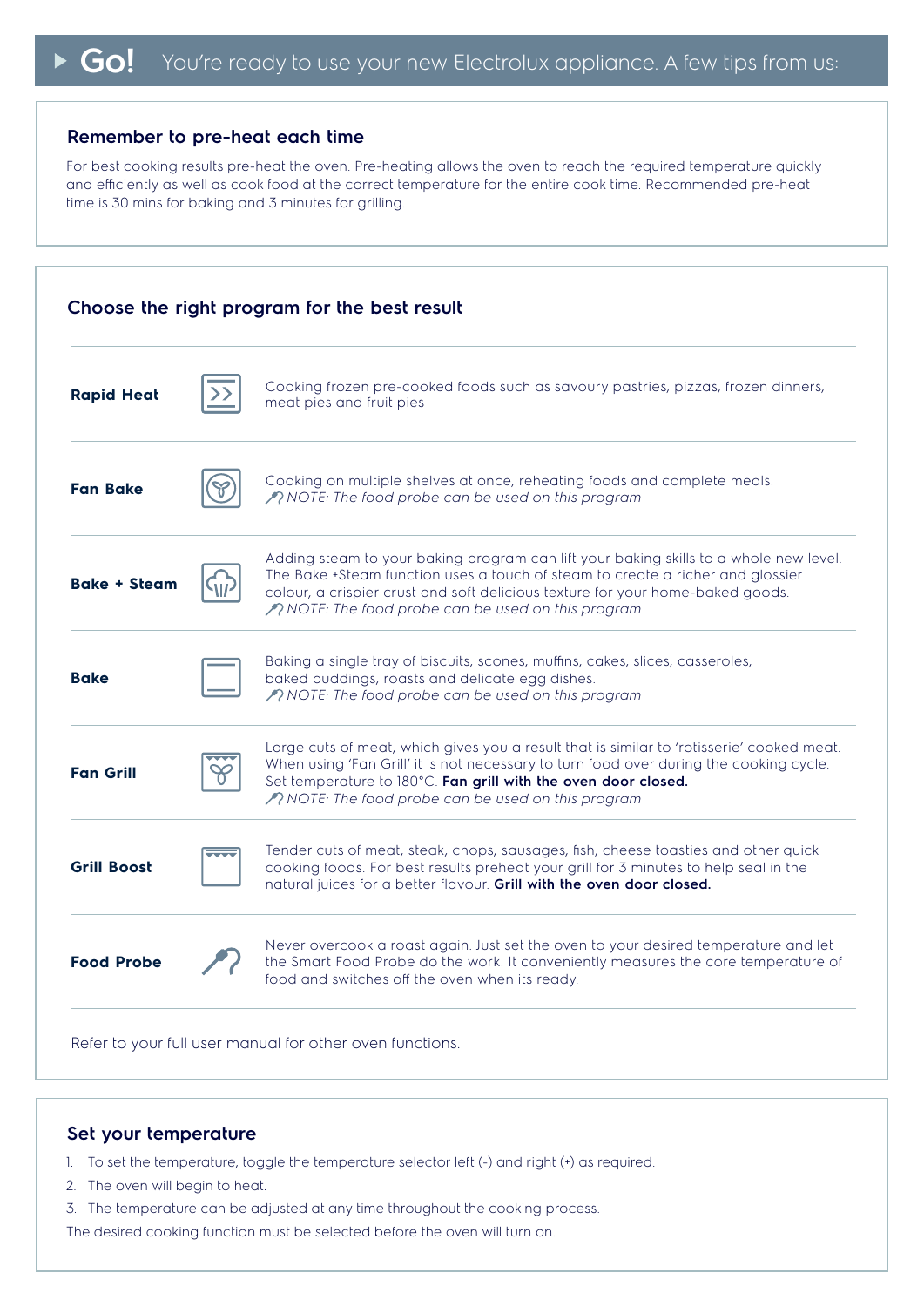#### **Remember to pre-heat each time**

For best cooking results pre-heat the oven. Pre-heating allows the oven to reach the required temperature quickly and efficiently as well as cook food at the correct temperature for the entire cook time. Recommended pre-heat time is 30 mins for baking and 3 minutes for grilling.



#### **Set your temperature**

- 1. To set the temperature, toggle the temperature selector left (-) and right (+) as required.
- 2. The oven will begin to heat.
- 3. The temperature can be adjusted at any time throughout the cooking process.

The desired cooking function must be selected before the oven will turn on.